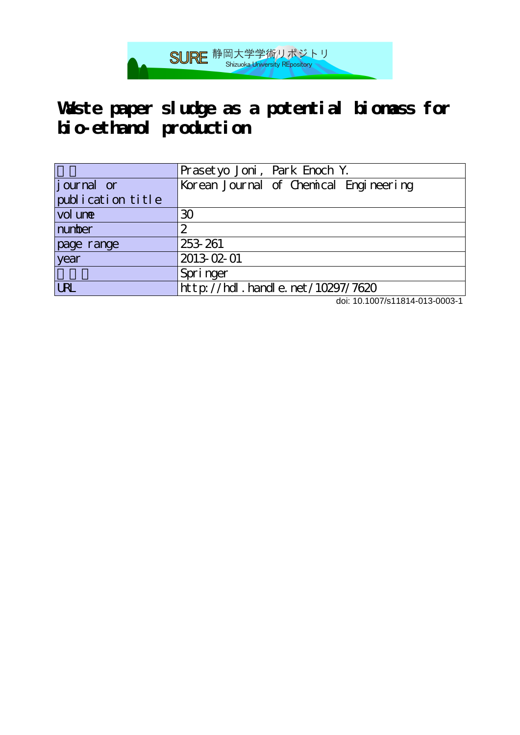

## **Waste paper sludge as a potential biomass for bio-ethanol production**

|                   | Prasetyo Joni, Park Enoch Y.           |  |
|-------------------|----------------------------------------|--|
| journal or        | Korean Journal of Chemical Engineering |  |
| publication title |                                        |  |
| vol une           | 30                                     |  |
| number            | 2                                      |  |
| page range        | 253-261                                |  |
| year              | 2013-02-01                             |  |
|                   | Springer                               |  |
| <b>LRL</b>        | http://hdl.handle.net/10297/7620       |  |

doi: 10.1007/s11814-013-0003-1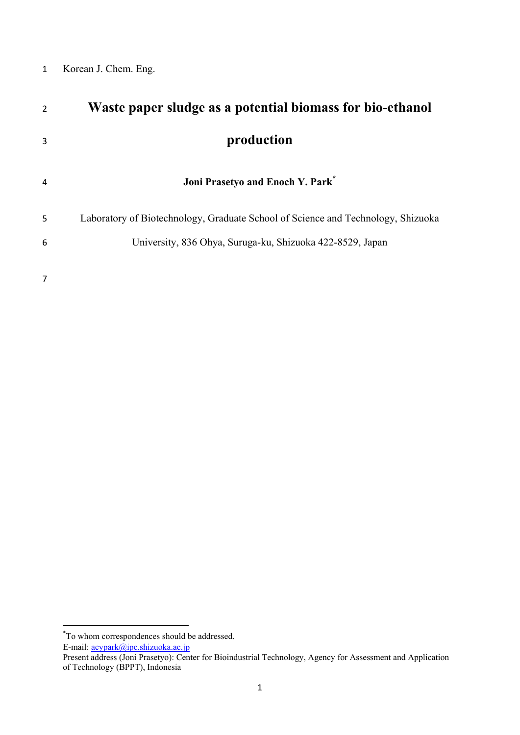## Korean J. Chem. Eng.

| 2 | Waste paper sludge as a potential biomass for bio-ethanol                        |  |  |
|---|----------------------------------------------------------------------------------|--|--|
| 3 | production                                                                       |  |  |
| 4 | Joni Prasetyo and Enoch Y. Park*                                                 |  |  |
| 5 | Laboratory of Biotechnology, Graduate School of Science and Technology, Shizuoka |  |  |
| 6 | University, 836 Ohya, Suruga-ku, Shizuoka 422-8529, Japan                        |  |  |
|   |                                                                                  |  |  |

 \* To whom correspondences should be addressed. E-mail: **acypark@ipc.shizuoka.ac.jp** 

Present address (Joni Prasetyo): Center for Bioindustrial Technology, Agency for Assessment and Application of Technology (BPPT), Indonesia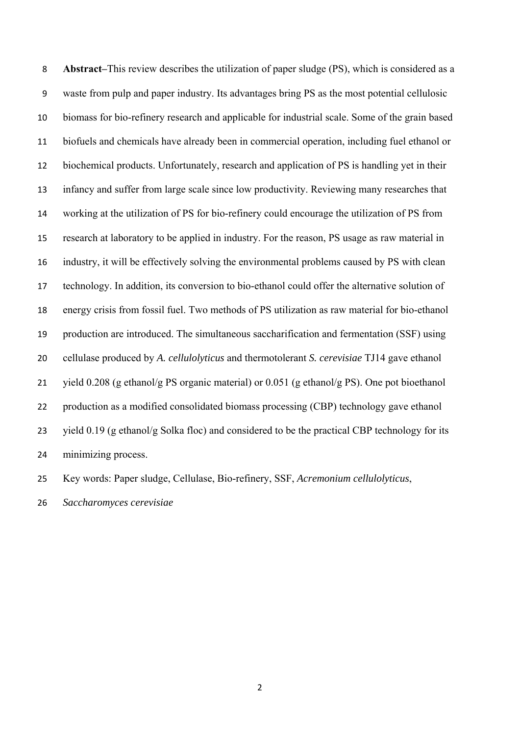**Abstract–**This review describes the utilization of paper sludge (PS), which is considered as a waste from pulp and paper industry. Its advantages bring PS as the most potential cellulosic biomass for bio-refinery research and applicable for industrial scale. Some of the grain based biofuels and chemicals have already been in commercial operation, including fuel ethanol or biochemical products. Unfortunately, research and application of PS is handling yet in their infancy and suffer from large scale since low productivity. Reviewing many researches that working at the utilization of PS for bio-refinery could encourage the utilization of PS from research at laboratory to be applied in industry. For the reason, PS usage as raw material in industry, it will be effectively solving the environmental problems caused by PS with clean technology. In addition, its conversion to bio-ethanol could offer the alternative solution of energy crisis from fossil fuel. Two methods of PS utilization as raw material for bio-ethanol production are introduced. The simultaneous saccharification and fermentation (SSF) using cellulase produced by *A. cellulolyticus* and thermotolerant *S. cerevisiae* TJ14 gave ethanol yield 0.208 (g ethanol/g PS organic material) or 0.051 (g ethanol/g PS). One pot bioethanol production as a modified consolidated biomass processing (CBP) technology gave ethanol yield 0.19 (g ethanol/g Solka floc) and considered to be the practical CBP technology for its minimizing process.

Key words: Paper sludge, Cellulase, Bio-refinery, SSF, *Acremonium cellulolyticus*,

*Saccharomyces cerevisiae*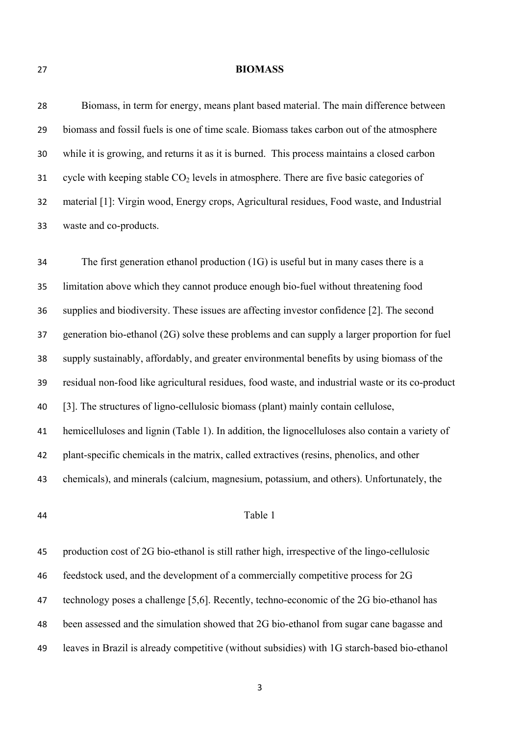#### **BIOMASS**

 Biomass, in term for energy, means plant based material. The main difference between biomass and fossil fuels is one of time scale. Biomass takes carbon out of the atmosphere while it is growing, and returns it as it is burned. This process maintains a closed carbon 31 cycle with keeping stable  $CO<sub>2</sub>$  levels in atmosphere. There are five basic categories of material [1]: Virgin wood, Energy crops, Agricultural residues, Food waste, and Industrial waste and co-products.

 The first generation ethanol production (1G) is useful but in many cases there is a limitation above which they cannot produce enough bio-fuel without threatening food supplies and biodiversity. These issues are affecting investor confidence [2]. The second generation bio-ethanol (2G) solve these problems and can supply a larger proportion for fuel supply sustainably, affordably, and greater environmental benefits by using biomass of the residual non-food like agricultural residues, food waste, and industrial waste or its co-product [3]. The structures of ligno-cellulosic biomass (plant) mainly contain cellulose, hemicelluloses and lignin (Table 1). In addition, the lignocelluloses also contain a variety of plant-specific chemicals in the matrix, called extractives (resins, phenolics, and other chemicals), and minerals (calcium, magnesium, potassium, and others). Unfortunately, the

## Table 1

 production cost of 2G bio-ethanol is still rather high, irrespective of the lingo-cellulosic feedstock used, and the development of a commercially competitive process for 2G technology poses a challenge [5,6]. Recently, techno-economic of the 2G bio-ethanol has been assessed and the simulation showed that 2G bio-ethanol from sugar cane bagasse and leaves in Brazil is already competitive (without subsidies) with 1G starch-based bio-ethanol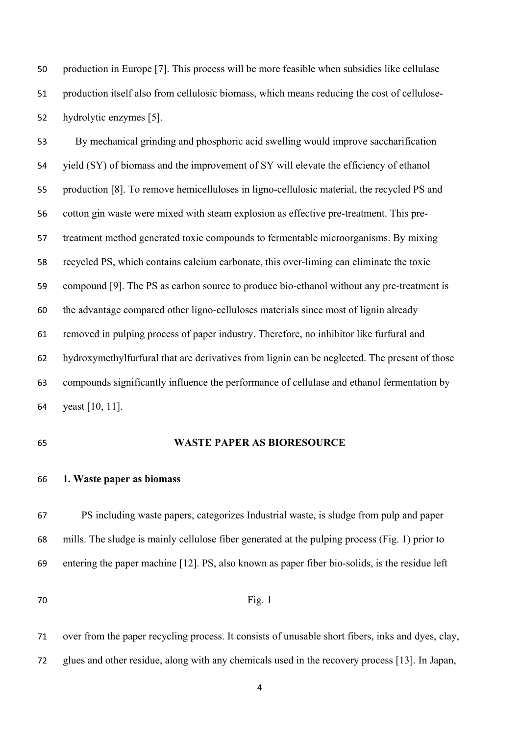production in Europe [7]. This process will be more feasible when subsidies like cellulase production itself also from cellulosic biomass, which means reducing the cost of cellulose-hydrolytic enzymes [5].

 By mechanical grinding and phosphoric acid swelling would improve saccharification yield (SY) of biomass and the improvement of SY will elevate the efficiency of ethanol production [8]. To remove hemicelluloses in ligno-cellulosic material, the recycled PS and cotton gin waste were mixed with steam explosion as effective pre-treatment. This pre- treatment method generated toxic compounds to fermentable microorganisms. By mixing recycled PS, which contains calcium carbonate, this over-liming can eliminate the toxic compound [9]. The PS as carbon source to produce bio-ethanol without any pre-treatment is the advantage compared other ligno-celluloses materials since most of lignin already removed in pulping process of paper industry. Therefore, no inhibitor like furfural and hydroxymethylfurfural that are derivatives from lignin can be neglected. The present of those compounds significantly influence the performance of cellulase and ethanol fermentation by yeast [10, 11].

#### **WASTE PAPER AS BIORESOURCE**

## **1. Waste paper as biomass**

 PS including waste papers, categorizes Industrial waste, is sludge from pulp and paper mills. The sludge is mainly cellulose fiber generated at the pulping process (Fig. 1) prior to entering the paper machine [12]. PS, also known as paper fiber bio-solids, is the residue left

## **Fig.** 1

 over from the paper recycling process. It consists of unusable short fibers, inks and dyes, clay, glues and other residue, along with any chemicals used in the recovery process [13]. In Japan,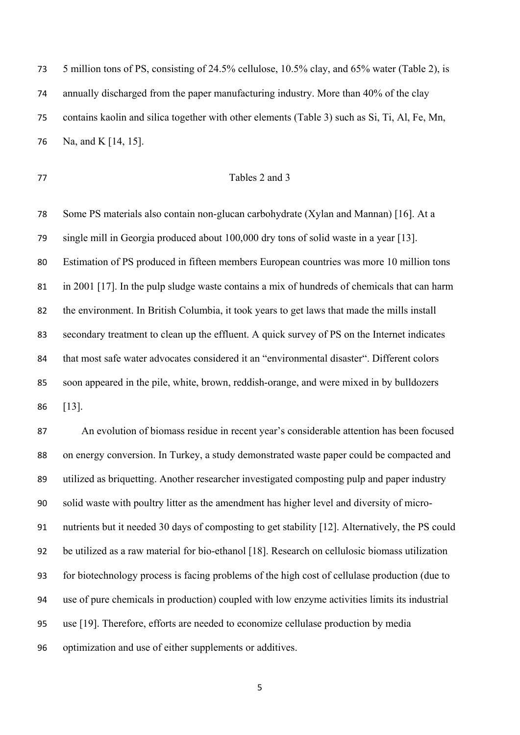5 million tons of PS, consisting of 24.5% cellulose, 10.5% clay, and 65% water (Table 2), is annually discharged from the paper manufacturing industry. More than 40% of the clay contains kaolin and silica together with other elements (Table 3) such as Si, Ti, Al, Fe, Mn, Na, and K [14, 15].

## Tables 2 and 3

 Some PS materials also contain non-glucan carbohydrate (Xylan and Mannan) [16]. At a single mill in Georgia produced about 100,000 dry tons of solid waste in a year [13]. Estimation of PS produced in fifteen members European countries was more 10 million tons in 2001 [17]. In the pulp sludge waste contains a mix of hundreds of chemicals that can harm the environment. In British Columbia, it took years to get laws that made the mills install secondary treatment to clean up the effluent. A quick survey of PS on the Internet indicates 84 that most safe water advocates considered it an "environmental disaster". Different colors soon appeared in the pile, white, brown, reddish-orange, and were mixed in by bulldozers [13].

 An evolution of biomass residue in recent year's considerable attention has been focused on energy conversion. In Turkey, a study demonstrated waste paper could be compacted and utilized as briquetting. Another researcher investigated composting pulp and paper industry solid waste with poultry litter as the amendment has higher level and diversity of micro- nutrients but it needed 30 days of composting to get stability [12]. Alternatively, the PS could be utilized as a raw material for bio-ethanol [18]. Research on cellulosic biomass utilization for biotechnology process is facing problems of the high cost of cellulase production (due to use of pure chemicals in production) coupled with low enzyme activities limits its industrial use [19]. Therefore, efforts are needed to economize cellulase production by media optimization and use of either supplements or additives.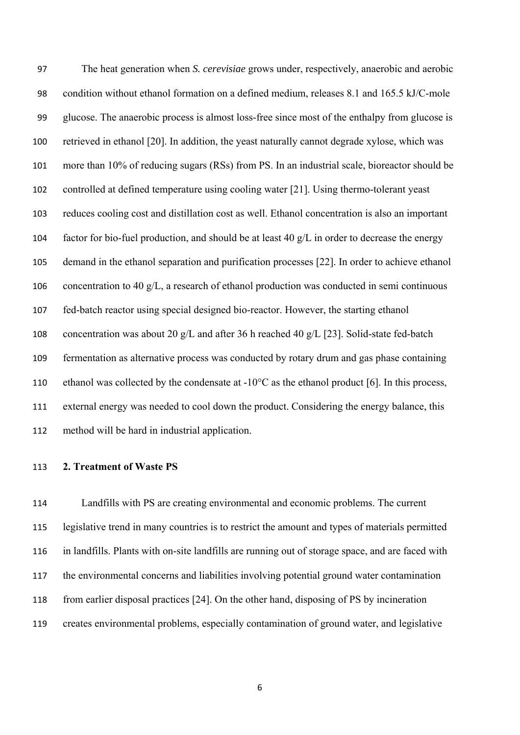The heat generation when *S. cerevisiae* grows under, respectively, anaerobic and aerobic condition without ethanol formation on a defined medium, releases 8.1 and 165.5 kJ/C-mole glucose. The anaerobic process is almost loss-free since most of the enthalpy from glucose is retrieved in ethanol [20]. In addition, the yeast naturally cannot degrade xylose, which was more than 10% of reducing sugars (RSs) from PS. In an industrial scale, bioreactor should be controlled at defined temperature using cooling water [21]. Using thermo-tolerant yeast reduces cooling cost and distillation cost as well. Ethanol concentration is also an important 104 factor for bio-fuel production, and should be at least 40  $g/L$  in order to decrease the energy demand in the ethanol separation and purification processes [22]. In order to achieve ethanol concentration to 40 g/L, a research of ethanol production was conducted in semi continuous fed-batch reactor using special designed bio-reactor. However, the starting ethanol concentration was about 20 g/L and after 36 h reached 40 g/L [23]. Solid-state fed-batch fermentation as alternative process was conducted by rotary drum and gas phase containing 110 ethanol was collected by the condensate at  $-10^{\circ}$ C as the ethanol product [6]. In this process, external energy was needed to cool down the product. Considering the energy balance, this method will be hard in industrial application.

## **2. Treatment of Waste PS**

 Landfills with PS are creating environmental and economic problems. The current legislative trend in many countries is to restrict the amount and types of materials permitted in landfills. Plants with on-site landfills are running out of storage space, and are faced with the environmental concerns and liabilities involving potential ground water contamination from earlier disposal practices [24]. On the other hand, disposing of PS by incineration creates environmental problems, especially contamination of ground water, and legislative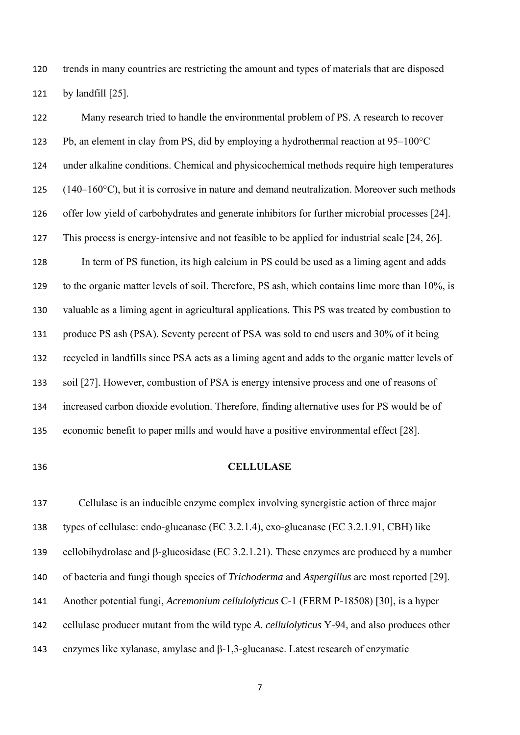trends in many countries are restricting the amount and types of materials that are disposed by landfill [25].

 Many research tried to handle the environmental problem of PS. A research to recover Pb, an element in clay from PS, did by employing a hydrothermal reaction at 95–100°C under alkaline conditions. Chemical and physicochemical methods require high temperatures  $(140-160^{\circ}\text{C})$ , but it is corrosive in nature and demand neutralization. Moreover such methods offer low yield of carbohydrates and generate inhibitors for further microbial processes [24]. This process is energy-intensive and not feasible to be applied for industrial scale [24, 26]. In term of PS function, its high calcium in PS could be used as a liming agent and adds to the organic matter levels of soil. Therefore, PS ash, which contains lime more than 10%, is valuable as a liming agent in agricultural applications. This PS was treated by combustion to produce PS ash (PSA). Seventy percent of PSA was sold to end users and 30% of it being recycled in landfills since PSA acts as a liming agent and adds to the organic matter levels of soil [27]. However, combustion of PSA is energy intensive process and one of reasons of increased carbon dioxide evolution. Therefore, finding alternative uses for PS would be of economic benefit to paper mills and would have a positive environmental effect [28].

## **CELLULASE**

 Cellulase is an inducible enzyme complex involving synergistic action of three major types of cellulase: endo-glucanase (EC 3.2.1.4), exo-glucanase (EC 3.2.1.91, CBH) like 139 cellobihydrolase and  $\beta$ -glucosidase (EC 3.2.1.21). These enzymes are produced by a number of bacteria and fungi though species of *Trichoderma* and *Aspergillus* are most reported [29]. Another potential fungi, *Acremonium cellulolyticus* C-1 (FERM P-18508) [30], is a hyper cellulase producer mutant from the wild type *A. cellulolyticus* Y-94, and also produces other enzymes like xylanase, amylase and β-1,3-glucanase. Latest research of enzymatic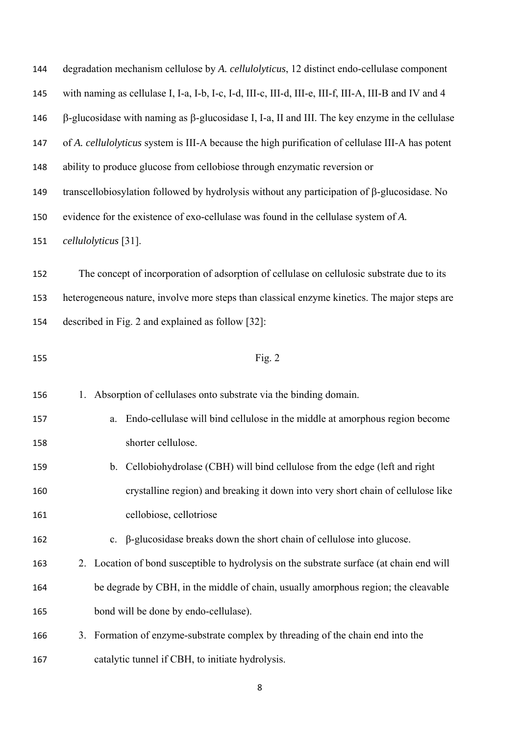| 144 | degradation mechanism cellulose by A. cellulolyticus, 12 distinct endo-cellulase component                   |  |  |  |
|-----|--------------------------------------------------------------------------------------------------------------|--|--|--|
| 145 | with naming as cellulase I, I-a, I-b, I-c, I-d, III-c, III-d, III-e, III-f, III-A, III-B and IV and 4        |  |  |  |
| 146 | $\beta$ -glucosidase with naming as $\beta$ -glucosidase I, I-a, II and III. The key enzyme in the cellulase |  |  |  |
| 147 | of A. cellulolyticus system is III-A because the high purification of cellulase III-A has potent             |  |  |  |
| 148 | ability to produce glucose from cellobiose through enzymatic reversion or                                    |  |  |  |
| 149 | transcellobiosylation followed by hydrolysis without any participation of $\beta$ -glucosidase. No           |  |  |  |
| 150 | evidence for the existence of exo-cellulase was found in the cellulase system of A.                          |  |  |  |
| 151 | cellulolyticus [31].                                                                                         |  |  |  |
| 152 | The concept of incorporation of adsorption of cellulase on cellulosic substrate due to its                   |  |  |  |
| 153 | heterogeneous nature, involve more steps than classical enzyme kinetics. The major steps are                 |  |  |  |
| 154 | described in Fig. 2 and explained as follow [32]:                                                            |  |  |  |
| 155 | Fig. $2$                                                                                                     |  |  |  |
| 156 | Absorption of cellulases onto substrate via the binding domain.<br>1.                                        |  |  |  |
| 157 | Endo-cellulase will bind cellulose in the middle at amorphous region become<br>a.                            |  |  |  |
| 158 | shorter cellulose.                                                                                           |  |  |  |
| 159 | b. Cellobiohydrolase (CBH) will bind cellulose from the edge (left and right                                 |  |  |  |
| 160 |                                                                                                              |  |  |  |
|     | crystalline region) and breaking it down into very short chain of cellulose like                             |  |  |  |
| 161 | cellobiose, cellotriose                                                                                      |  |  |  |
| 162 | β-glucosidase breaks down the short chain of cellulose into glucose.<br>$\mathbf{c}$ .                       |  |  |  |
| 163 | 2. Location of bond susceptible to hydrolysis on the substrate surface (at chain end will                    |  |  |  |
| 164 | be degrade by CBH, in the middle of chain, usually amorphous region; the cleavable                           |  |  |  |
| 165 | bond will be done by endo-cellulase).                                                                        |  |  |  |
| 166 | Formation of enzyme-substrate complex by threading of the chain end into the<br>3.                           |  |  |  |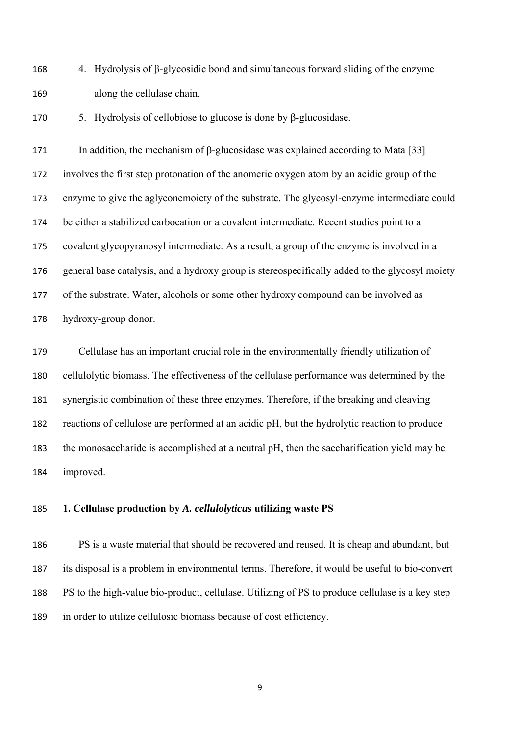168 4. Hydrolysis of  $\beta$ -glycosidic bond and simultaneous forward sliding of the enzyme along the cellulase chain.

5. Hydrolysis of cellobiose to glucose is done by β-glucosidase.

171 In addition, the mechanism of β-glucosidase was explained according to Mata [33] involves the first step protonation of the anomeric oxygen atom by an acidic group of the enzyme to give the aglyconemoiety of the substrate. The glycosyl-enzyme intermediate could be either a stabilized carbocation or a covalent intermediate. Recent studies point to a covalent glycopyranosyl intermediate. As a result, a group of the enzyme is involved in a general base catalysis, and a hydroxy group is stereospecifically added to the glycosyl moiety of the substrate. Water, alcohols or some other hydroxy compound can be involved as hydroxy-group donor.

 Cellulase has an important crucial role in the environmentally friendly utilization of cellulolytic biomass. The effectiveness of the cellulase performance was determined by the synergistic combination of these three enzymes. Therefore, if the breaking and cleaving reactions of cellulose are performed at an acidic pH, but the hydrolytic reaction to produce the monosaccharide is accomplished at a neutral pH, then the saccharification yield may be improved.

## **1. Cellulase production by** *A. cellulolyticus* **utilizing waste PS**

 PS is a waste material that should be recovered and reused. It is cheap and abundant, but its disposal is a problem in environmental terms. Therefore, it would be useful to bio-convert PS to the high-value bio-product, cellulase. Utilizing of PS to produce cellulase is a key step in order to utilize cellulosic biomass because of cost efficiency.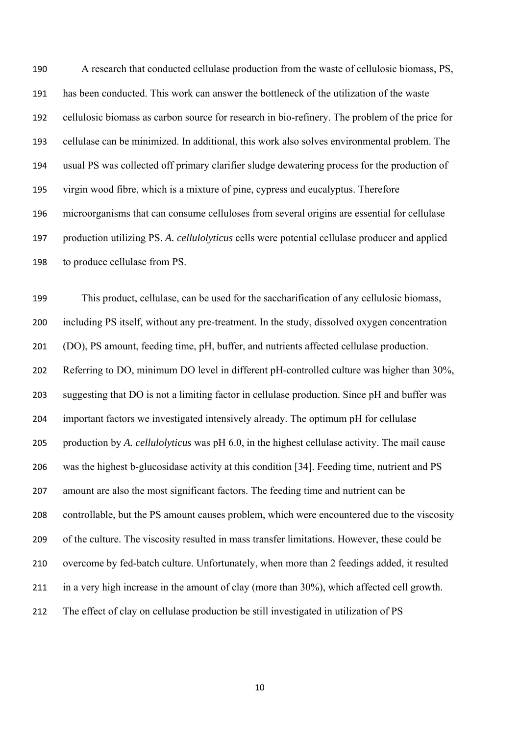A research that conducted cellulase production from the waste of cellulosic biomass, PS, has been conducted. This work can answer the bottleneck of the utilization of the waste cellulosic biomass as carbon source for research in bio-refinery. The problem of the price for cellulase can be minimized. In additional, this work also solves environmental problem. The usual PS was collected off primary clarifier sludge dewatering process for the production of virgin wood fibre, which is a mixture of pine, cypress and eucalyptus. Therefore microorganisms that can consume celluloses from several origins are essential for cellulase production utilizing PS. *A. cellulolyticus* cells were potential cellulase producer and applied to produce cellulase from PS.

 This product, cellulase, can be used for the saccharification of any cellulosic biomass, including PS itself, without any pre-treatment. In the study, dissolved oxygen concentration (DO), PS amount, feeding time, pH, buffer, and nutrients affected cellulase production. Referring to DO, minimum DO level in different pH-controlled culture was higher than 30%, suggesting that DO is not a limiting factor in cellulase production. Since pH and buffer was important factors we investigated intensively already. The optimum pH for cellulase production by *A. cellulolyticus* was pH 6.0, in the highest cellulase activity. The mail cause was the highest b-glucosidase activity at this condition [34]. Feeding time, nutrient and PS amount are also the most significant factors. The feeding time and nutrient can be controllable, but the PS amount causes problem, which were encountered due to the viscosity of the culture. The viscosity resulted in mass transfer limitations. However, these could be overcome by fed-batch culture. Unfortunately, when more than 2 feedings added, it resulted in a very high increase in the amount of clay (more than 30%), which affected cell growth. The effect of clay on cellulase production be still investigated in utilization of PS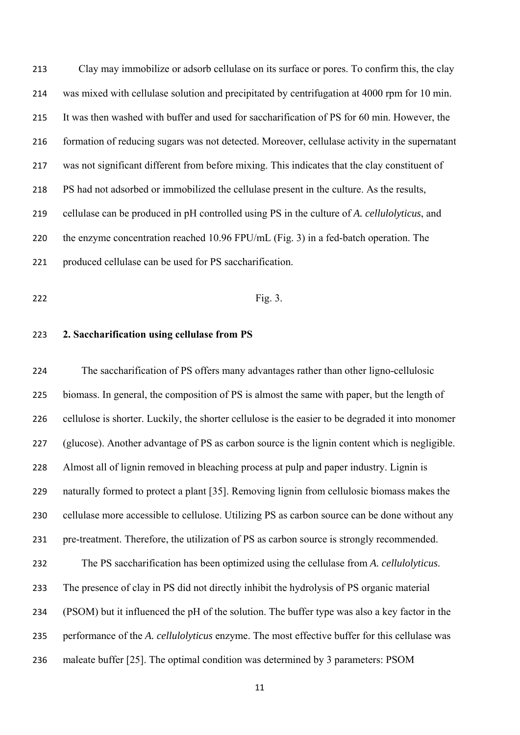Clay may immobilize or adsorb cellulase on its surface or pores. To confirm this, the clay was mixed with cellulase solution and precipitated by centrifugation at 4000 rpm for 10 min. It was then washed with buffer and used for saccharification of PS for 60 min. However, the formation of reducing sugars was not detected. Moreover, cellulase activity in the supernatant was not significant different from before mixing. This indicates that the clay constituent of PS had not adsorbed or immobilized the cellulase present in the culture. As the results, cellulase can be produced in pH controlled using PS in the culture of *A. cellulolyticus*, and the enzyme concentration reached 10.96 FPU/mL (Fig. 3) in a fed-batch operation. The produced cellulase can be used for PS saccharification.

## **Fig. 3.**

## **2. Saccharification using cellulase from PS**

 The saccharification of PS offers many advantages rather than other ligno-cellulosic biomass. In general, the composition of PS is almost the same with paper, but the length of cellulose is shorter. Luckily, the shorter cellulose is the easier to be degraded it into monomer (glucose). Another advantage of PS as carbon source is the lignin content which is negligible. Almost all of lignin removed in bleaching process at pulp and paper industry. Lignin is naturally formed to protect a plant [35]. Removing lignin from cellulosic biomass makes the cellulase more accessible to cellulose. Utilizing PS as carbon source can be done without any pre-treatment. Therefore, the utilization of PS as carbon source is strongly recommended. The PS saccharification has been optimized using the cellulase from *A. cellulolyticus*. The presence of clay in PS did not directly inhibit the hydrolysis of PS organic material (PSOM) but it influenced the pH of the solution. The buffer type was also a key factor in the performance of the *A. cellulolyticus* enzyme. The most effective buffer for this cellulase was maleate buffer [25]. The optimal condition was determined by 3 parameters: PSOM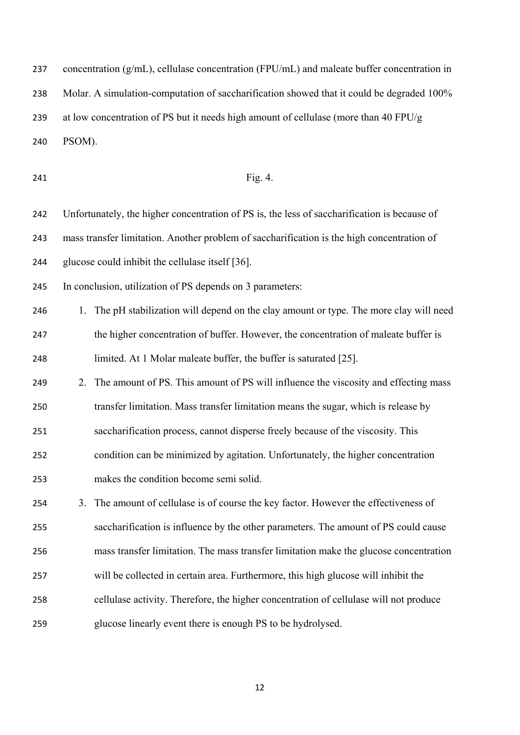237 concentration  $(g/mL)$ , cellulase concentration (FPU/mL) and maleate buffer concentration in Molar. A simulation-computation of saccharification showed that it could be degraded 100% at low concentration of PS but it needs high amount of cellulase (more than 40 FPU/g PSOM).

## **Fig. 4.**

 Unfortunately, the higher concentration of PS is, the less of saccharification is because of mass transfer limitation. Another problem of saccharification is the high concentration of glucose could inhibit the cellulase itself [36].

In conclusion, utilization of PS depends on 3 parameters:

- 246 1. The pH stabilization will depend on the clay amount or type. The more clay will need the higher concentration of buffer. However, the concentration of maleate buffer is limited. At 1 Molar maleate buffer, the buffer is saturated [25].
- 249 2. The amount of PS. This amount of PS will influence the viscosity and effecting mass transfer limitation. Mass transfer limitation means the sugar, which is release by saccharification process, cannot disperse freely because of the viscosity. This condition can be minimized by agitation. Unfortunately, the higher concentration
- makes the condition become semi solid.

 3. The amount of cellulase is of course the key factor. However the effectiveness of saccharification is influence by the other parameters. The amount of PS could cause mass transfer limitation. The mass transfer limitation make the glucose concentration will be collected in certain area. Furthermore, this high glucose will inhibit the cellulase activity. Therefore, the higher concentration of cellulase will not produce glucose linearly event there is enough PS to be hydrolysed.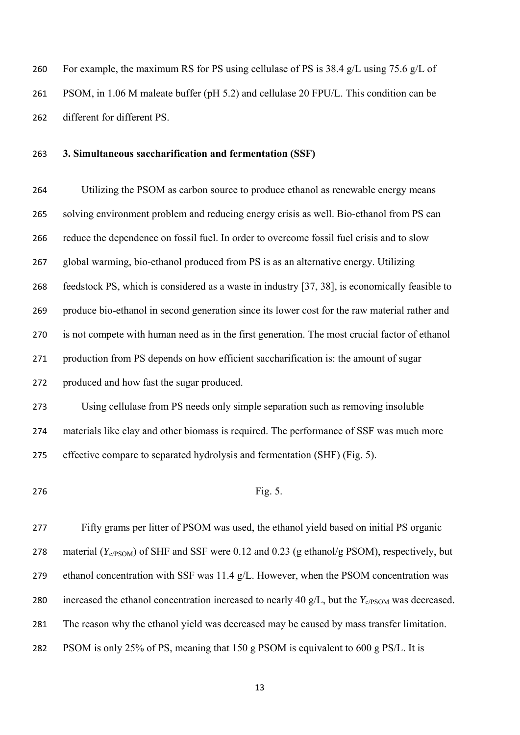For example, the maximum RS for PS using cellulase of PS is 38.4 g/L using 75.6 g/L of PSOM, in 1.06 M maleate buffer (pH 5.2) and cellulase 20 FPU/L. This condition can be different for different PS.

## **3. Simultaneous saccharification and fermentation (SSF)**

 Utilizing the PSOM as carbon source to produce ethanol as renewable energy means solving environment problem and reducing energy crisis as well. Bio-ethanol from PS can reduce the dependence on fossil fuel. In order to overcome fossil fuel crisis and to slow global warming, bio-ethanol produced from PS is as an alternative energy. Utilizing feedstock PS, which is considered as a waste in industry [37, 38], is economically feasible to produce bio-ethanol in second generation since its lower cost for the raw material rather and is not compete with human need as in the first generation. The most crucial factor of ethanol production from PS depends on how efficient saccharification is: the amount of sugar produced and how fast the sugar produced. Using cellulase from PS needs only simple separation such as removing insoluble materials like clay and other biomass is required. The performance of SSF was much more

effective compare to separated hydrolysis and fermentation (SHF) (Fig. 5).

276 Fig. 5.

 Fifty grams per litter of PSOM was used, the ethanol yield based on initial PS organic material (*Y*e/PSOM) of SHF and SSF were 0.12 and 0.23 (g ethanol/g PSOM), respectively, but ethanol concentration with SSF was 11.4 g/L. However, when the PSOM concentration was 280 increased the ethanol concentration increased to nearly 40  $g/L$ , but the  $Y_{e/PSOM}$  was decreased. The reason why the ethanol yield was decreased may be caused by mass transfer limitation. PSOM is only 25% of PS, meaning that 150 g PSOM is equivalent to 600 g PS/L. It is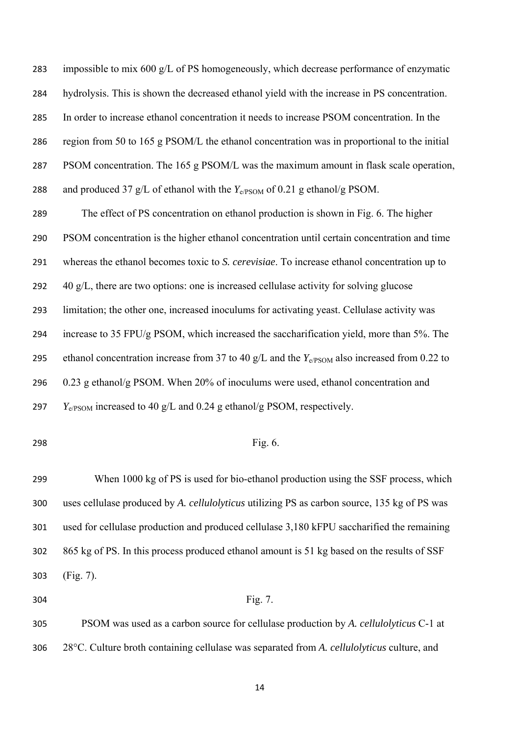impossible to mix 600 g/L of PS homogeneously, which decrease performance of enzymatic hydrolysis. This is shown the decreased ethanol yield with the increase in PS concentration. In order to increase ethanol concentration it needs to increase PSOM concentration. In the region from 50 to 165 g PSOM/L the ethanol concentration was in proportional to the initial PSOM concentration. The 165 g PSOM/L was the maximum amount in flask scale operation, 288 and produced 37 g/L of ethanol with the  $Y_{e/PSOM}$  of 0.21 g ethanol/g PSOM. The effect of PS concentration on ethanol production is shown in Fig. 6. The higher PSOM concentration is the higher ethanol concentration until certain concentration and time whereas the ethanol becomes toxic to *S. cerevisiae*. To increase ethanol concentration up to 40 g/L, there are two options: one is increased cellulase activity for solving glucose limitation; the other one, increased inoculums for activating yeast. Cellulase activity was increase to 35 FPU/g PSOM, which increased the saccharification yield, more than 5%. The 295 ethanol concentration increase from 37 to 40  $g/L$  and the  $Y_{e/PSOM}$  also increased from 0.22 to 0.23 g ethanol/g PSOM. When 20% of inoculums were used, ethanol concentration and *Y*e/PSOM increased to 40 g/L and 0.24 g ethanol/g PSOM, respectively.

## **Fig. 6.**

 When 1000 kg of PS is used for bio-ethanol production using the SSF process, which uses cellulase produced by *A. cellulolyticus* utilizing PS as carbon source, 135 kg of PS was used for cellulase production and produced cellulase 3,180 kFPU saccharified the remaining 865 kg of PS. In this process produced ethanol amount is 51 kg based on the results of SSF (Fig. 7).

## 304 Fig. 7.

 PSOM was used as a carbon source for cellulase production by *A. cellulolyticus* C-1 at 28°C. Culture broth containing cellulase was separated from *A. cellulolyticus* culture, and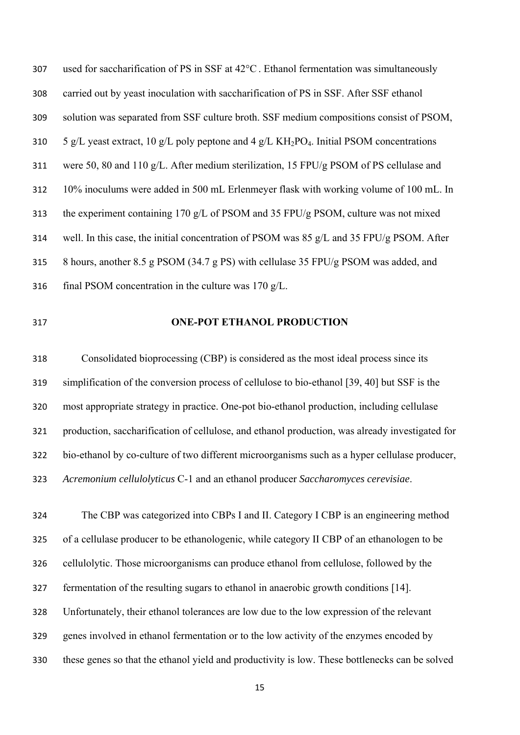used for saccharification of PS in SSF at 42°C. Ethanol fermentation was simultaneously carried out by yeast inoculation with saccharification of PS in SSF. After SSF ethanol solution was separated from SSF culture broth. SSF medium compositions consist of PSOM, 310 5 g/L yeast extract, 10 g/L poly peptone and 4 g/L KH<sub>2</sub>PO<sub>4</sub>. Initial PSOM concentrations were 50, 80 and 110 g/L. After medium sterilization, 15 FPU/g PSOM of PS cellulase and 10% inoculums were added in 500 mL Erlenmeyer flask with working volume of 100 mL. In the experiment containing 170 g/L of PSOM and 35 FPU/g PSOM, culture was not mixed well. In this case, the initial concentration of PSOM was 85 g/L and 35 FPU/g PSOM. After 8 hours, another 8.5 g PSOM (34.7 g PS) with cellulase 35 FPU/g PSOM was added, and final PSOM concentration in the culture was 170 g/L.

## **ONE-POT ETHANOL PRODUCTION**

 Consolidated bioprocessing (CBP) is considered as the most ideal process since its simplification of the conversion process of cellulose to bio-ethanol [39, 40] but SSF is the most appropriate strategy in practice. One-pot bio-ethanol production, including cellulase production, saccharification of cellulose, and ethanol production, was already investigated for bio-ethanol by co-culture of two different microorganisms such as a hyper cellulase producer, *Acremonium cellulolyticus* C-1 and an ethanol producer *Saccharomyces cerevisiae*.

 The CBP was categorized into CBPs I and II. Category I CBP is an engineering method of a cellulase producer to be ethanologenic, while category II CBP of an ethanologen to be cellulolytic. Those microorganisms can produce ethanol from cellulose, followed by the fermentation of the resulting sugars to ethanol in anaerobic growth conditions [14]. Unfortunately, their ethanol tolerances are low due to the low expression of the relevant genes involved in ethanol fermentation or to the low activity of the enzymes encoded by these genes so that the ethanol yield and productivity is low. These bottlenecks can be solved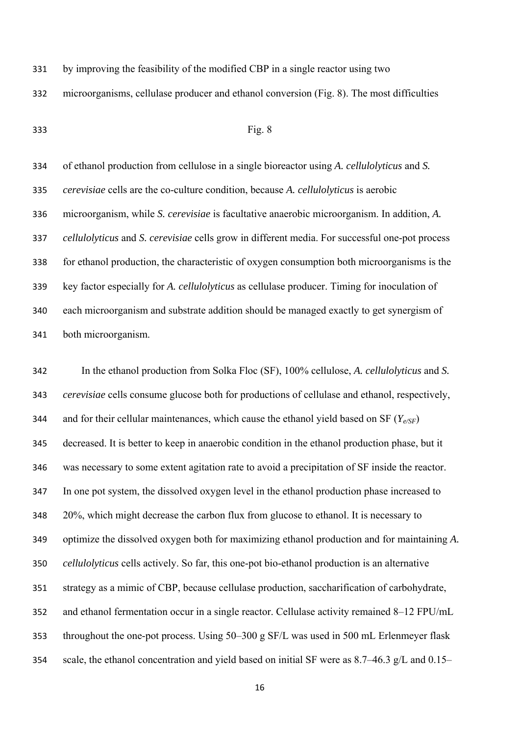by improving the feasibility of the modified CBP in a single reactor using two

microorganisms, cellulase producer and ethanol conversion (Fig. 8). The most difficulties

## Fig. 8

 of ethanol production from cellulose in a single bioreactor using *A. cellulolyticus* and *S. cerevisiae* cells are the co-culture condition, because *A. cellulolyticus* is aerobic microorganism, while *S. cerevisiae* is facultative anaerobic microorganism. In addition, *A. cellulolyticus* and *S. cerevisiae* cells grow in different media. For successful one-pot process for ethanol production, the characteristic of oxygen consumption both microorganisms is the key factor especially for *A. cellulolyticus* as cellulase producer. Timing for inoculation of each microorganism and substrate addition should be managed exactly to get synergism of both microorganism.

 In the ethanol production from Solka Floc (SF), 100% cellulose, *A. cellulolyticus* and *S. cerevisiae* cells consume glucose both for productions of cellulase and ethanol, respectively, and for their cellular maintenances, which cause the ethanol yield based on SF (*Ye/SF*) decreased. It is better to keep in anaerobic condition in the ethanol production phase, but it was necessary to some extent agitation rate to avoid a precipitation of SF inside the reactor. In one pot system, the dissolved oxygen level in the ethanol production phase increased to 20%, which might decrease the carbon flux from glucose to ethanol. It is necessary to optimize the dissolved oxygen both for maximizing ethanol production and for maintaining *A. cellulolyticus* cells actively. So far, this one-pot bio-ethanol production is an alternative strategy as a mimic of CBP, because cellulase production, saccharification of carbohydrate, and ethanol fermentation occur in a single reactor. Cellulase activity remained 8–12 FPU/mL throughout the one-pot process. Using 50–300 g SF/L was used in 500 mL Erlenmeyer flask scale, the ethanol concentration and yield based on initial SF were as 8.7–46.3 g/L and 0.15–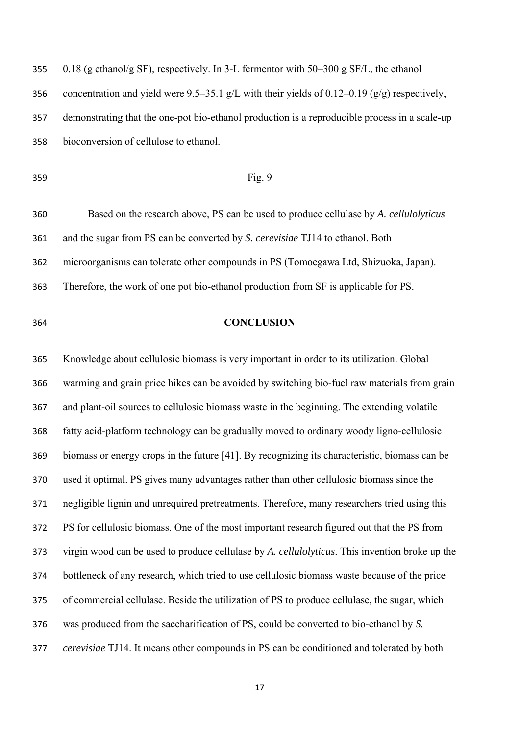| 355 | 0.18 (g ethanol/g SF), respectively. In 3-L fermentor with 50–300 g SF/L, the ethanol            |
|-----|--------------------------------------------------------------------------------------------------|
| 356 | concentration and yield were 9.5–35.1 g/L with their yields of 0.12–0.19 ( $g/g$ ) respectively, |
| 357 | demonstrating that the one-pot bio-ethanol production is a reproducible process in a scale-up    |
| 358 | bioconversion of cellulose to ethanol.                                                           |

## Fig. 9

 Based on the research above, PS can be used to produce cellulase by *A. cellulolyticus* and the sugar from PS can be converted by *S. cerevisiae* TJ14 to ethanol. Both microorganisms can tolerate other compounds in PS (Tomoegawa Ltd, Shizuoka, Japan). Therefore, the work of one pot bio-ethanol production from SF is applicable for PS.

## **CONCLUSION**

 Knowledge about cellulosic biomass is very important in order to its utilization. Global warming and grain price hikes can be avoided by switching bio-fuel raw materials from grain and plant-oil sources to cellulosic biomass waste in the beginning. The extending volatile fatty acid-platform technology can be gradually moved to ordinary woody ligno-cellulosic biomass or energy crops in the future [41]. By recognizing its characteristic, biomass can be used it optimal. PS gives many advantages rather than other cellulosic biomass since the negligible lignin and unrequired pretreatments. Therefore, many researchers tried using this PS for cellulosic biomass. One of the most important research figured out that the PS from virgin wood can be used to produce cellulase by *A. cellulolyticus*. This invention broke up the bottleneck of any research, which tried to use cellulosic biomass waste because of the price of commercial cellulase. Beside the utilization of PS to produce cellulase, the sugar, which was produced from the saccharification of PS, could be converted to bio-ethanol by *S. cerevisiae* TJ14. It means other compounds in PS can be conditioned and tolerated by both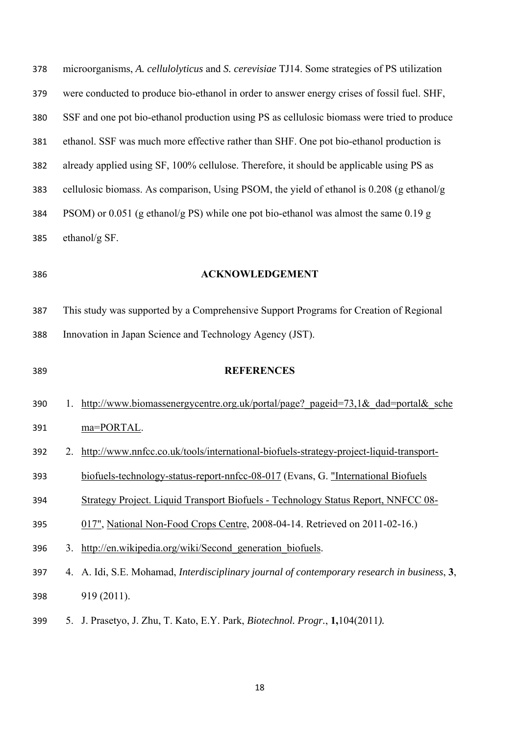| 378 | microorganisms, A. cellulolyticus and S. cerevisiae TJ14. Some strategies of PS utilization            |  |  |
|-----|--------------------------------------------------------------------------------------------------------|--|--|
| 379 | were conducted to produce bio-ethanol in order to answer energy crises of fossil fuel. SHF,            |  |  |
| 380 | SSF and one pot bio-ethanol production using PS as cellulosic biomass were tried to produce            |  |  |
| 381 | ethanol. SSF was much more effective rather than SHF. One pot bio-ethanol production is                |  |  |
| 382 | already applied using SF, 100% cellulose. Therefore, it should be applicable using PS as               |  |  |
| 383 | cellulosic biomass. As comparison, Using PSOM, the yield of ethanol is 0.208 (g ethanol/g              |  |  |
| 384 | PSOM) or 0.051 (g ethanol/g PS) while one pot bio-ethanol was almost the same $0.19$ g                 |  |  |
| 385 | ethanol/g SF.                                                                                          |  |  |
| 386 | <b>ACKNOWLEDGEMENT</b>                                                                                 |  |  |
|     |                                                                                                        |  |  |
| 387 | This study was supported by a Comprehensive Support Programs for Creation of Regional                  |  |  |
| 388 | Innovation in Japan Science and Technology Agency (JST).                                               |  |  |
| 389 | <b>REFERENCES</b>                                                                                      |  |  |
|     |                                                                                                        |  |  |
| 390 | http://www.biomassenergycentre.org.uk/portal/page? pageid=73,1& dad=portal& sche<br>1.                 |  |  |
| 391 | ma=PORTAL.                                                                                             |  |  |
| 392 | http://www.nnfcc.co.uk/tools/international-biofuels-strategy-project-liquid-transport-<br>2.           |  |  |
| 393 | biofuels-technology-status-report-nnfcc-08-017 (Evans, G. "International Biofuels                      |  |  |
| 394 | Strategy Project. Liquid Transport Biofuels - Technology Status Report, NNFCC 08-                      |  |  |
| 395 | 017", National Non-Food Crops Centre, 2008-04-14. Retrieved on 2011-02-16.)                            |  |  |
| 396 | http://en.wikipedia.org/wiki/Second generation biofuels.<br>3.                                         |  |  |
| 397 | A. Idi, S.E. Mohamad, <i>Interdisciplinary journal of contemporary research in business</i> , 3,<br>4. |  |  |
| 398 | 919 (2011).                                                                                            |  |  |
|     |                                                                                                        |  |  |

5. J. Prasetyo, J. Zhu, T. Kato, E.Y. Park, *Biotechnol. Progr.*, **1,**104(2011*).*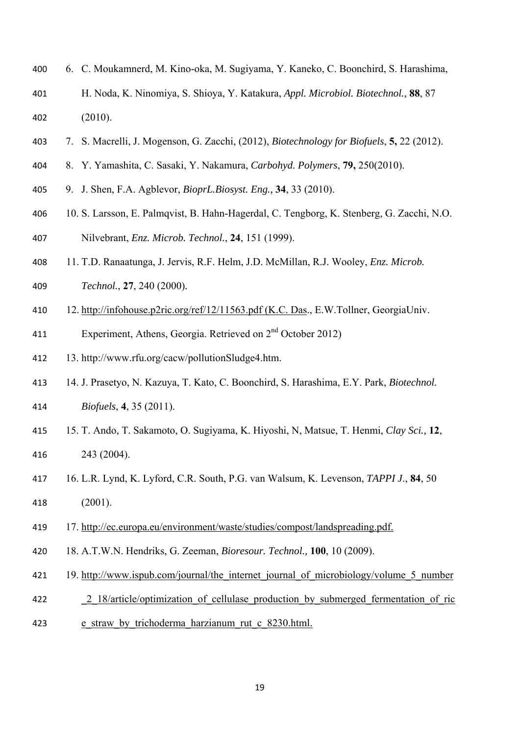- 6. C. Moukamnerd, M. Kino-oka, M. Sugiyama, Y. Kaneko, C. Boonchird, S. Harashima,
- H. Noda, K. Ninomiya, S. Shioya, Y. Katakura, *Appl. Microbiol. Biotechnol.,* **88**, 87 (2010).
- 7. S. Macrelli, J. Mogenson, G. Zacchi, (2012), *Biotechnology for Biofuels*, **5,** 22 (2012).
- 8. Y. Yamashita, C. Sasaki, Y. Nakamura, *Carbohyd. Polymers*, **79,** 250(2010).
- 9. J. Shen, F.A. Agblevor, *BioprL.Biosyst. Eng.,* **34**, 33 (2010).
- 10. S. Larsson, E. Palmqvist, B. Hahn-Hagerdal, C. Tengborg, K. Stenberg, G. Zacchi, N.O. Nilvebrant, *Enz. Microb. Technol.*, **24**, 151 (1999).
- 11. T.D. Ranaatunga, J. Jervis, R.F. Helm, J.D. McMillan, R.J. Wooley, *Enz. Microb.*
- *Technol.*, **27**, 240 (2000)*.*
- 12. http://infohouse.p2ric.org/ref/12/11563.pdf (K.C. Das., E.W.Tollner, GeorgiaUniv.
- 411 Experiment, Athens, Georgia. Retrieved on 2<sup>nd</sup> October 2012)
- 13. http://www.rfu.org/cacw/pollutionSludge4.htm.
- 14. J. Prasetyo, N. Kazuya, T. Kato, C. Boonchird, S. Harashima, E.Y. Park, *Biotechnol. Biofuels*, **4**, 35 (2011).
- 15. T. Ando, T. Sakamoto, O. Sugiyama, K. Hiyoshi, N, Matsue, T. Henmi, *Clay Sci.,* **12**, 243 (2004).
- 16. L.R. Lynd, K. Lyford, C.R. South, P.G. van Walsum, K. Levenson, *TAPPI J*., **84**, 50 (2001).
- 17. http://ec.europa.eu/environment/waste/studies/compost/landspreading.pdf.
- 18. A.T.W.N. Hendriks, G. Zeeman, *Bioresour. Technol.,* **100**, 10 (2009).
- 421 19. http://www.ispub.com/journal/the\_internet\_journal\_of\_microbiology/volume\_5\_number
- 422 2 18/article/optimization of cellulase production by submerged fermentation of ric
- 423 e straw by trichoderma harzianum rut c 8230.html.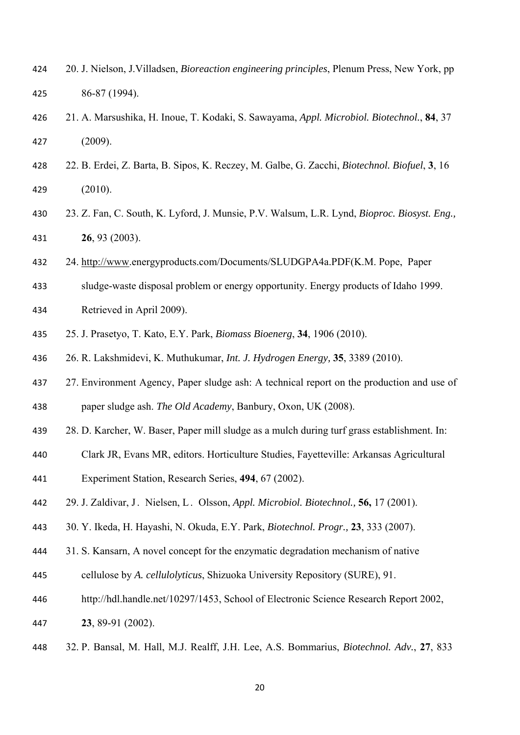- 20. J. Nielson, J.Villadsen, *Bioreaction engineering principles*, Plenum Press, New York, pp 86-87 (1994).
- 21. A. Marsushika, H. Inoue, T. Kodaki, S. Sawayama, *Appl. Microbiol. Biotechnol.*, **84**, 37 (2009).
- 22. B. Erdei, Z. Barta, B. Sipos, K. Reczey, M. Galbe, G. Zacchi, *Biotechnol. Biofuel*, **3**, 16 (2010).
- 23. Z. Fan, C. South, K. Lyford, J. Munsie, P.V. Walsum, L.R. Lynd, *Bioproc. Biosyst. Eng.,*  **26**, 93 (2003).
- 24. http://www.energyproducts.com/Documents/SLUDGPA4a.PDF(K.M. Pope, Paper
- sludge-waste disposal problem or energy opportunity. Energy products of Idaho 1999.
- Retrieved in April 2009).
- 25. J. Prasetyo, T. Kato, E.Y. Park, *Biomass Bioenerg*, **34**, 1906 (2010).
- 26. R. Lakshmidevi, K. Muthukumar, *Int. J. Hydrogen Energy,* **35**, 3389 (2010).
- 437 27. Environment Agency, Paper sludge ash: A technical report on the production and use of paper sludge ash. *The Old Academy*, Banbury, Oxon, UK (2008).
- 28. D. Karcher, W. Baser, Paper mill sludge as a mulch during turf grass establishment. In:
- Clark JR, Evans MR, editors. Horticulture Studies, Fayetteville: Arkansas Agricultural
- Experiment Station, Research Series, **494**, 67 (2002).
- 29. J. Zaldivar, J . Nielsen, L . Olsson, *Appl. Microbiol. Biotechnol.,* **56,** 17 (2001).
- 30. Y. Ikeda, H. Hayashi, N. Okuda, E.Y. Park, *Biotechnol. Progr.,* **23**, 333 (2007).
- 31. S. Kansarn, A novel concept for the enzymatic degradation mechanism of native
- cellulose by *A. cellulolyticus*, Shizuoka University Repository (SURE), 91.
- http://hdl.handle.net/10297/1453, School of Electronic Science Research Report 2002,
- **23**, 89-91 (2002).
- 32. P. Bansal, M. Hall, M.J. Realff, J.H. Lee, A.S. Bommarius, *Biotechnol. Adv.*, **27**, 833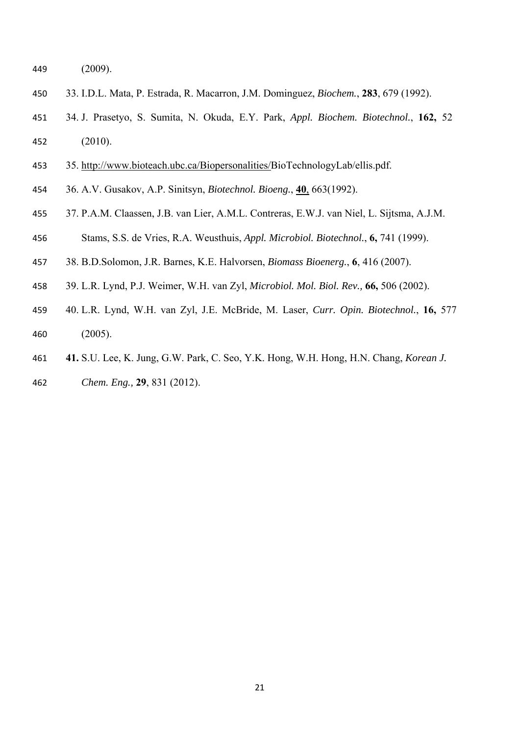(2009).

- 33. I.D.L. Mata, P. Estrada, R. Macarron, J.M. Dominguez, *Biochem.*, **283**, 679 (1992).
- 34. J. Prasetyo, S. Sumita, N. Okuda, E.Y. Park, *Appl. Biochem. Biotechnol.*, **162,** 52 (2010).
- 35. http://www.bioteach.ubc.ca/Biopersonalities/BioTechnologyLab/ellis.pdf.
- 36. A.V. Gusakov, A.P. Sinitsyn, *Biotechnol. Bioeng.*, **40**, 663(1992).
- 37. P.A.M. Claassen, J.B. van Lier, A.M.L. Contreras, E.W.J. van Niel, L. Sijtsma, A.J.M.
- Stams, S.S. de Vries, R.A. Weusthuis, *Appl. Microbiol. Biotechnol.*, **6,** 741 (1999).
- 38. B.D.Solomon, J.R. Barnes, K.E. Halvorsen, *Biomass Bioenerg.*, **6**, 416 (2007).
- 39. L.R. Lynd, P.J. Weimer, W.H. van Zyl, *Microbiol. Mol. Biol. Rev.,* **66,** 506 (2002).
- 40. L.R. Lynd, W.H. van Zyl, J.E. McBride, M. Laser, *Curr. Opin. Biotechnol.*, **16,** 577 (2005).
- **41.** S.U. Lee, K. Jung, G.W. Park, C. Seo, Y.K. Hong, W.H. Hong, H.N. Chang, *Korean J.*
- *Chem. Eng.,* **29**, 831 (2012).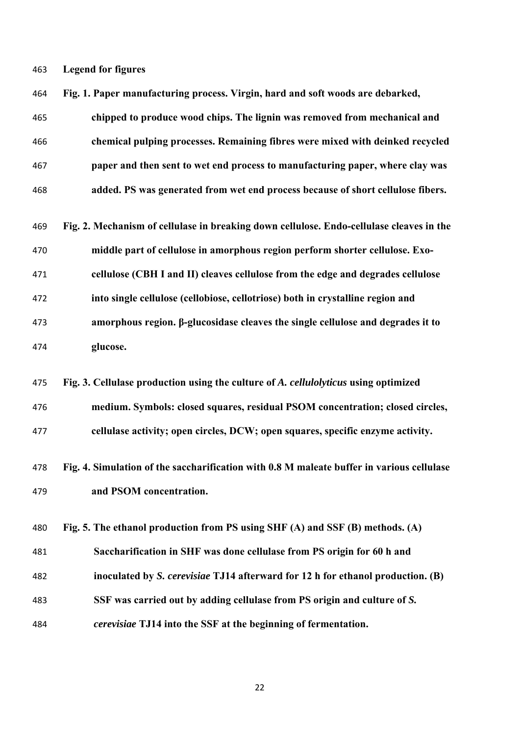**Legend for figures** 

| 464 | Fig. 1. Paper manufacturing process. Virgin, hard and soft woods are debarked,            |
|-----|-------------------------------------------------------------------------------------------|
| 465 | chipped to produce wood chips. The lignin was removed from mechanical and                 |
| 466 | chemical pulping processes. Remaining fibres were mixed with deinked recycled             |
| 467 | paper and then sent to wet end process to manufacturing paper, where clay was             |
| 468 | added. PS was generated from wet end process because of short cellulose fibers.           |
| 469 | Fig. 2. Mechanism of cellulase in breaking down cellulose. Endo-cellulase cleaves in the  |
| 470 | middle part of cellulose in amorphous region perform shorter cellulose. Exo-              |
| 471 | cellulose (CBH I and II) cleaves cellulose from the edge and degrades cellulose           |
| 472 | into single cellulose (cellobiose, cellotriose) both in crystalline region and            |
| 473 | amorphous region. β-glucosidase cleaves the single cellulose and degrades it to           |
| 474 | glucose.                                                                                  |
|     |                                                                                           |
| 475 | Fig. 3. Cellulase production using the culture of A. cellulolyticus using optimized       |
| 476 | medium. Symbols: closed squares, residual PSOM concentration; closed circles,             |
| 477 | cellulase activity; open circles, DCW; open squares, specific enzyme activity.            |
| 478 | Fig. 4. Simulation of the saccharification with 0.8 M maleate buffer in various cellulase |
| 479 | and PSOM concentration.                                                                   |
| 480 | Fig. 5. The ethanol production from PS using SHF (A) and SSF (B) methods. (A)             |
| 481 | Saccharification in SHF was done cellulase from PS origin for 60 h and                    |
| 482 | inoculated by S. cerevisiae TJ14 afterward for 12 h for ethanol production. (B)           |
| 483 | SSF was carried out by adding cellulase from PS origin and culture of S.                  |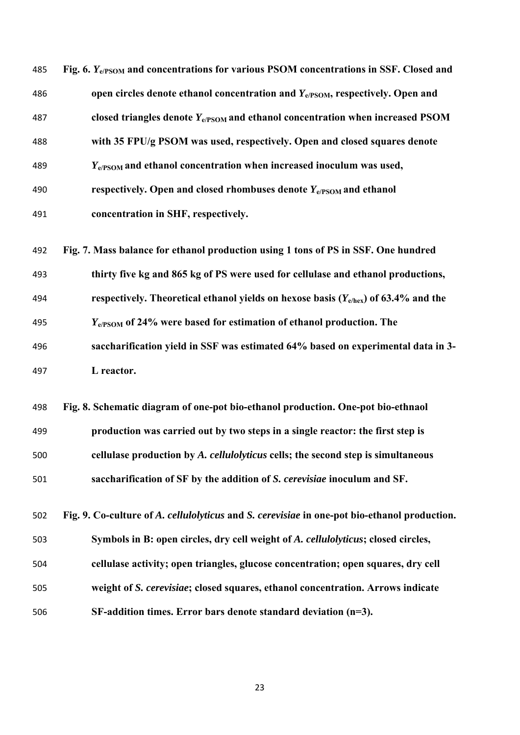| 485 | Fig. 6. Y <sub>e/PSOM</sub> and concentrations for various PSOM concentrations in SSF. Closed and |
|-----|---------------------------------------------------------------------------------------------------|
| 486 | open circles denote ethanol concentration and $Y_{e/PSOM}$ , respectively. Open and               |
| 487 | closed triangles denote $Y_{e/PSOM}$ and ethanol concentration when increased PSOM                |
| 488 | with 35 FPU/g PSOM was used, respectively. Open and closed squares denote                         |
| 489 | $Y_{e/PSOM}$ and ethanol concentration when increased inoculum was used,                          |
| 490 | respectively. Open and closed rhombuses denote $Y_{e/PSOM}$ and ethanol                           |
| 491 | concentration in SHF, respectively.                                                               |
| 492 | Fig. 7. Mass balance for ethanol production using 1 tons of PS in SSF. One hundred                |
| 493 | thirty five kg and 865 kg of PS were used for cellulase and ethanol productions,                  |
| 494 | respectively. Theoretical ethanol yields on hexose basis ( $Y_{e/hex}$ ) of 63.4% and the         |
| 495 | $Y_{e/PSOM}$ of 24% were based for estimation of ethanol production. The                          |
| 496 | saccharification yield in SSF was estimated 64% based on experimental data in 3-                  |
| 497 | L reactor.                                                                                        |
| 498 | Fig. 8. Schematic diagram of one-pot bio-ethanol production. One-pot bio-ethnaol                  |
| 499 | production was carried out by two steps in a single reactor: the first step is                    |
| 500 | cellulase production by A. cellulolyticus cells; the second step is simultaneous                  |
| 501 | saccharification of SF by the addition of S. cerevisiae inoculum and SF.                          |
| 502 | Fig. 9. Co-culture of A. cellulolyticus and S. cerevisiae in one-pot bio-ethanol production.      |
| 503 | Symbols in B: open circles, dry cell weight of A. cellulolyticus; closed circles,                 |
| 504 | cellulase activity; open triangles, glucose concentration; open squares, dry cell                 |
| 505 | weight of S. cerevisiae; closed squares, ethanol concentration. Arrows indicate                   |
| 506 | $SF$ -addition times. Error bars denote standard deviation (n=3).                                 |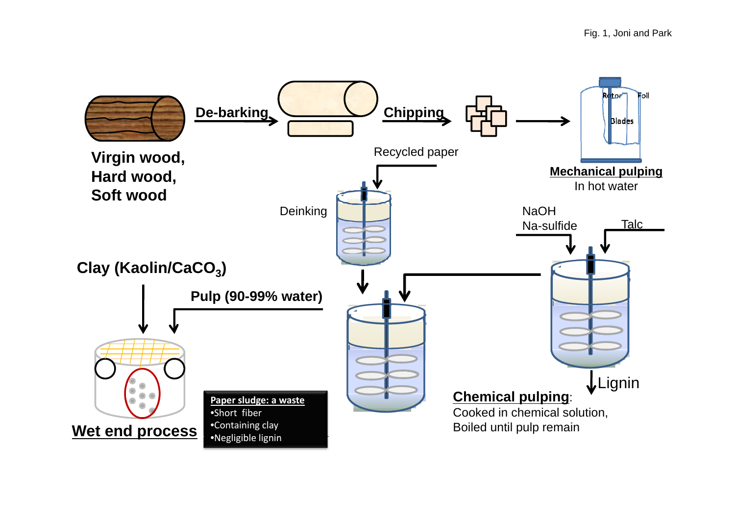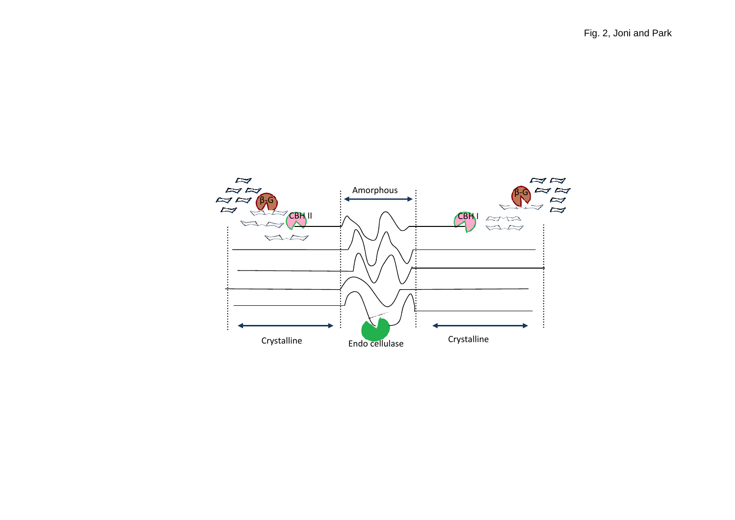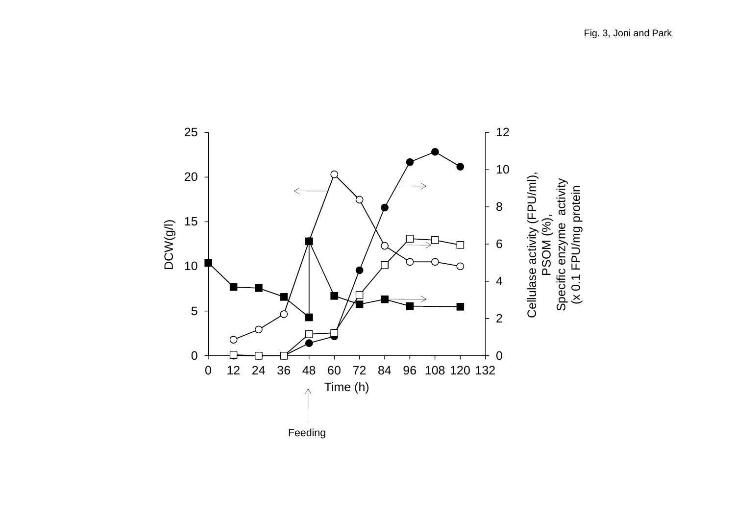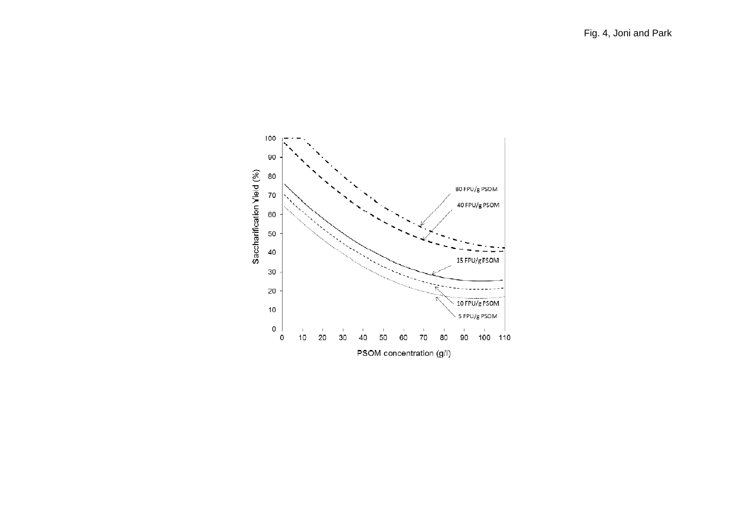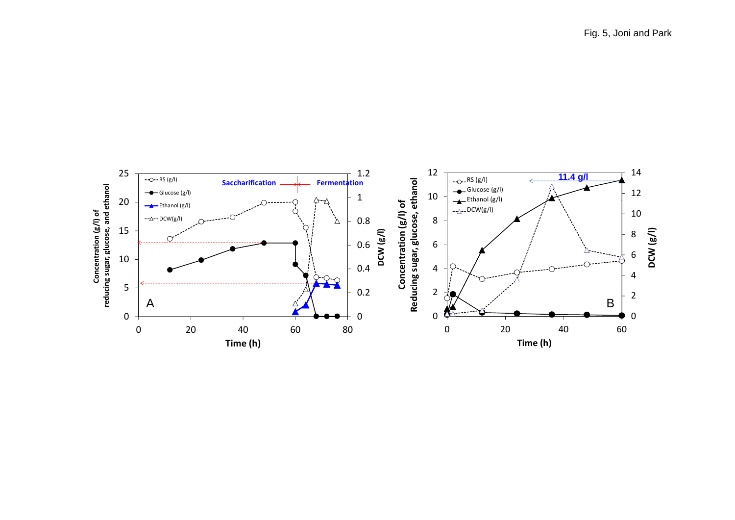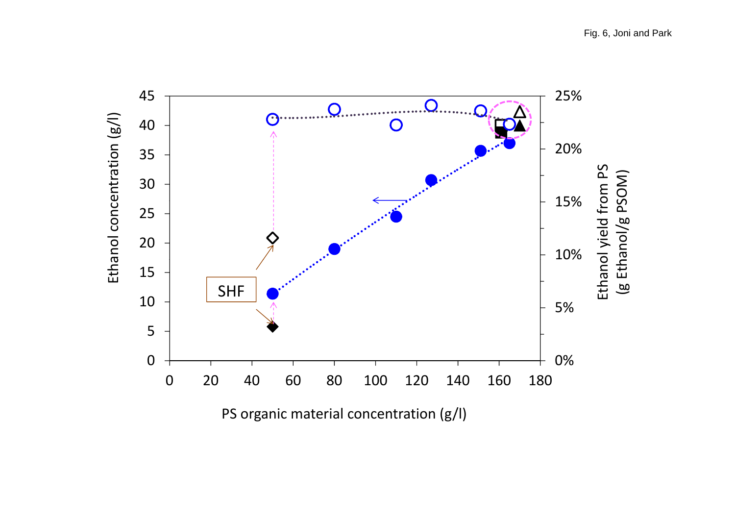Fig. 6, Joni and Park



PS organic material concentration (g/l)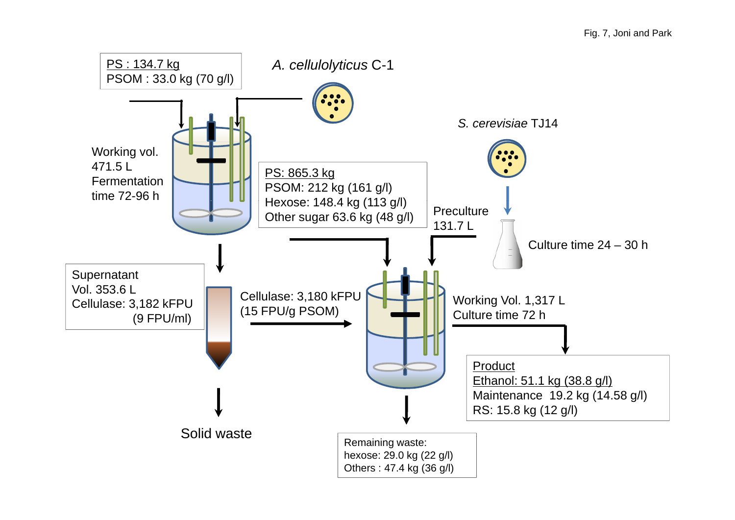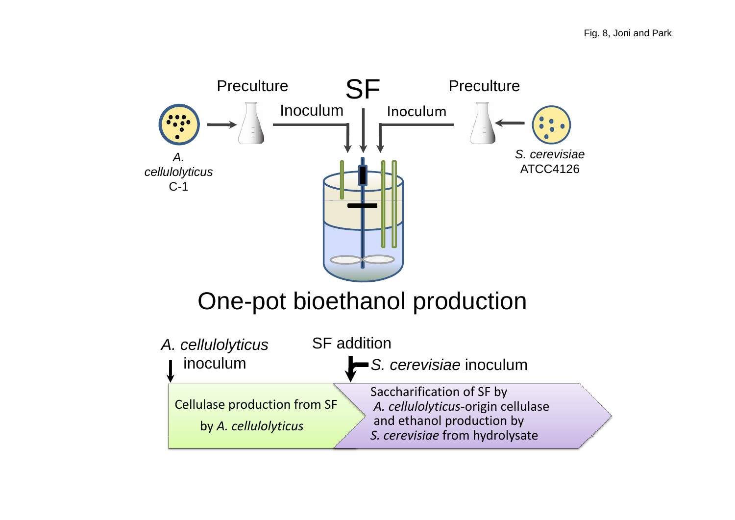

# One-pot bioethanol production

| A. cellulolyticus                                           | <b>SF</b> addition |                                                                                                                                |  |
|-------------------------------------------------------------|--------------------|--------------------------------------------------------------------------------------------------------------------------------|--|
| inoculum                                                    |                    | $\blacktriangleright$ S. cerevisiae inoculum                                                                                   |  |
| <b>Cellulase production from SF</b><br>by A. cellulolyticus |                    | Saccharification of SF by<br>A. cellulolyticus-origin cellulase<br>and ethanol production by<br>S. cerevisiae from hydrolysate |  |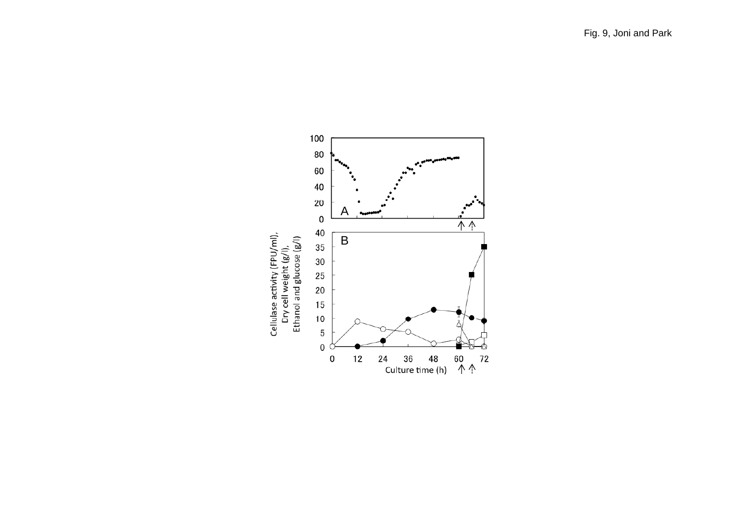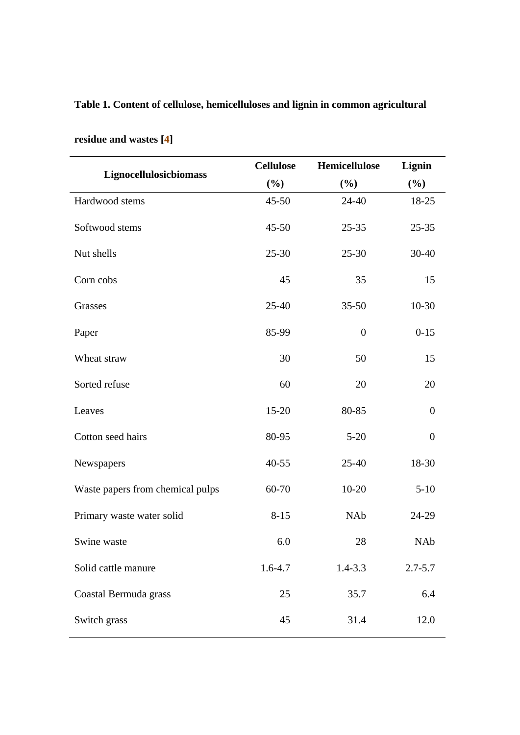## **Table 1. Content of cellulose, hemicelluloses and lignin in common agricultural**

|                                  | <b>Cellulose</b> | Hemicellulose    | Lignin           |
|----------------------------------|------------------|------------------|------------------|
| Lignocellulosicbiomass           | (%)              | $(\%)$           | (%)              |
| Hardwood stems                   | $45 - 50$        | $24 - 40$        | 18-25            |
| Softwood stems                   | $45 - 50$        | $25 - 35$        | $25 - 35$        |
| Nut shells                       | $25 - 30$        | $25 - 30$        | 30-40            |
| Corn cobs                        | 45               | 35               | 15               |
| Grasses                          | $25 - 40$        | $35 - 50$        | $10-30$          |
| Paper                            | 85-99            | $\boldsymbol{0}$ | $0 - 15$         |
| Wheat straw                      | 30               | 50               | 15               |
| Sorted refuse                    | 60               | 20               | 20               |
| Leaves                           | $15 - 20$        | 80-85            | $\overline{0}$   |
| Cotton seed hairs                | 80-95            | $5 - 20$         | $\boldsymbol{0}$ |
| Newspapers                       | $40 - 55$        | $25 - 40$        | 18-30            |
| Waste papers from chemical pulps | 60-70            | $10 - 20$        | $5-10$           |
| Primary waste water solid        | $8 - 15$         | <b>NAb</b>       | 24-29            |
| Swine waste                      | 6.0              | 28               | NAb              |
| Solid cattle manure              | $1.6 - 4.7$      | $1.4 - 3.3$      | $2.7 - 5.7$      |
| Coastal Bermuda grass            | 25               | 35.7             | 6.4              |
| Switch grass                     | 45               | 31.4             | 12.0             |

## **residue and wastes [4]**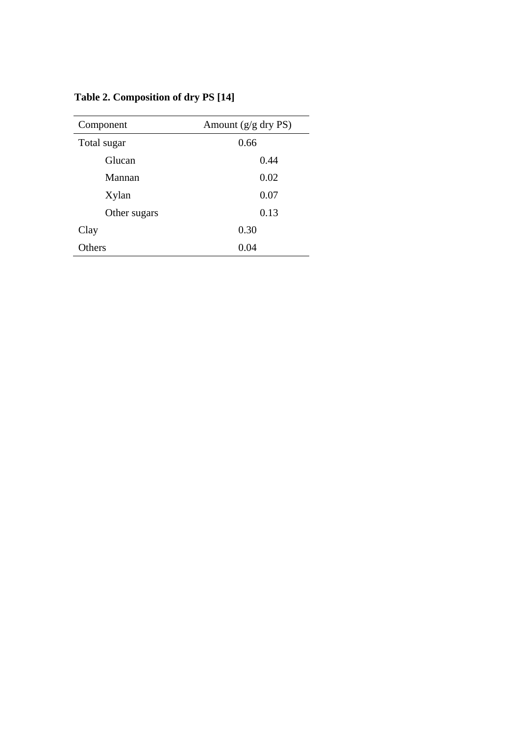| Component    | Amount $(g/g \, dry \, PS)$ |
|--------------|-----------------------------|
| Total sugar  | 0.66                        |
| Glucan       | 0.44                        |
| Mannan       | 0.02                        |
| Xylan        | 0.07                        |
| Other sugars | 0.13                        |
| Clay         | 0.30                        |
| Others       | 0.04                        |

**Table 2. Composition of dry PS [14]**